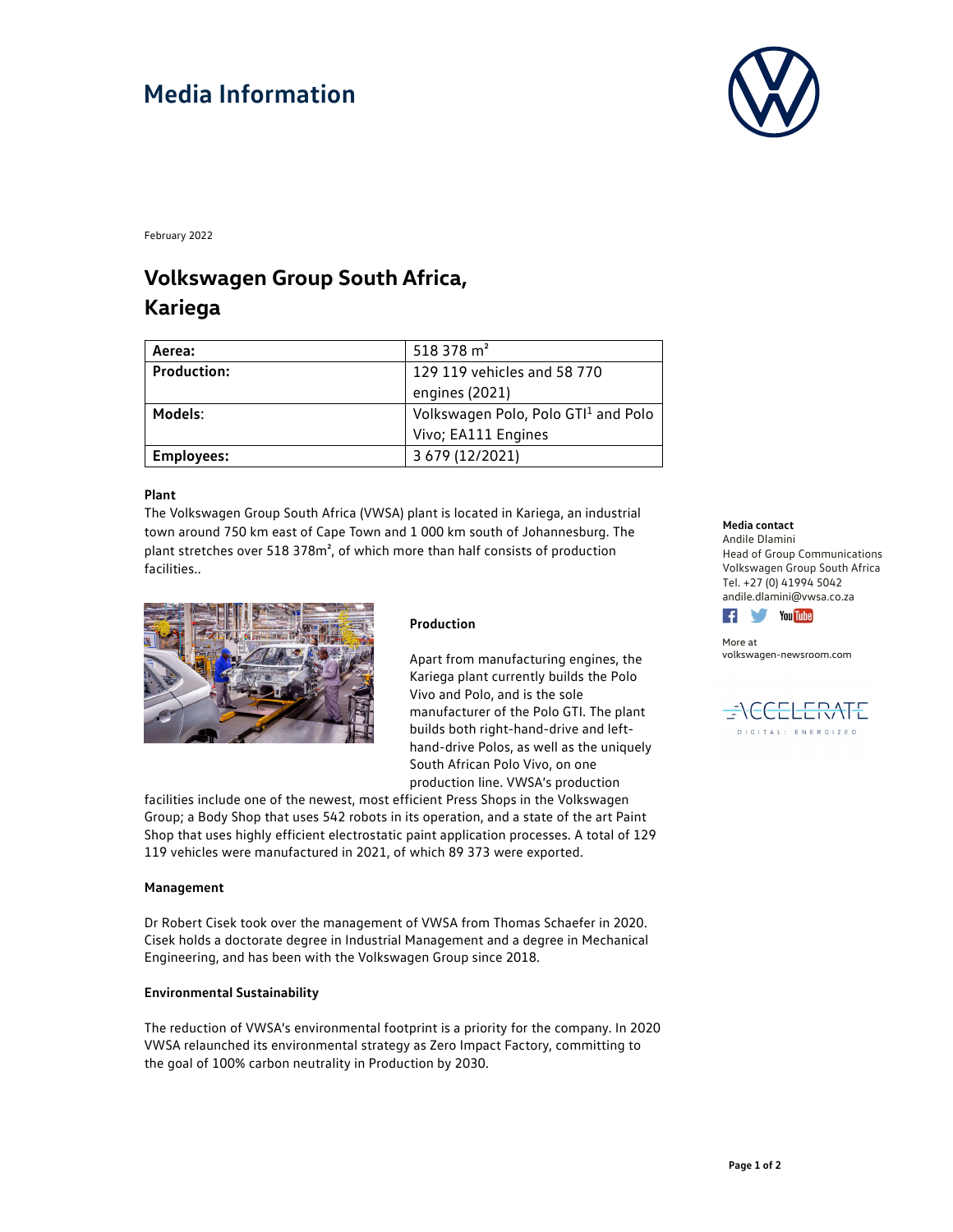# **Media Information**



February 2022

### **Volkswagen Group South Africa, Kariega**

| Aerea:             | 518378 m <sup>2</sup>               |
|--------------------|-------------------------------------|
| <b>Production:</b> | 129 119 vehicles and 58 770         |
|                    | engines (2021)                      |
| Models:            | Volkswagen Polo, Polo GTI1 and Polo |
|                    | Vivo; EA111 Engines                 |
| <b>Employees:</b>  | 3 679 (12/2021)                     |

#### **Plant**

The Volkswagen Group South Africa (VWSA) plant is located in Kariega, an industrial town around 750 km east of Cape Town and 1 000 km south of Johannesburg. The plant stretches over 518 378m², of which more than half consists of production facilities..



#### **Production**

Apart from manufacturing engines, the Kariega plant currently builds the Polo Vivo and Polo, and is the sole manufacturer of the Polo GTI. The plant builds both right-hand-drive and lefthand-drive Polos, as well as the uniquely South African Polo Vivo, on one production line. VWSA's production

facilities include one of the newest, most efficient Press Shops in the Volkswagen Group; a Body Shop that uses 542 robots in its operation, and a state of the art Paint Shop that uses highly efficient electrostatic paint application processes. A total of 129 119 vehicles were manufactured in 2021, of which 89 373 were exported.

### **Management**

Dr Robert Cisek took over the management of VWSA from Thomas Schaefer in 2020. Cisek holds a doctorate degree in Industrial Management and a degree in Mechanical Engineering, and has been with the Volkswagen Group since 2018.

### **Environmental Sustainability**

The reduction of VWSA's environmental footprint is a priority for the company. In 2020 VWSA relaunched its environmental strategy as Zero Impact Factory, committing to the goal of 100% carbon neutrality in Production by 2030.

#### **Media contact**

Andile Dlamini Head of Group Communications Volkswagen Group South Africa Tel. +27 (0) 41994 5042 andile.dlamini@vwsa.co.za



More at volkswagen-newsroom.com